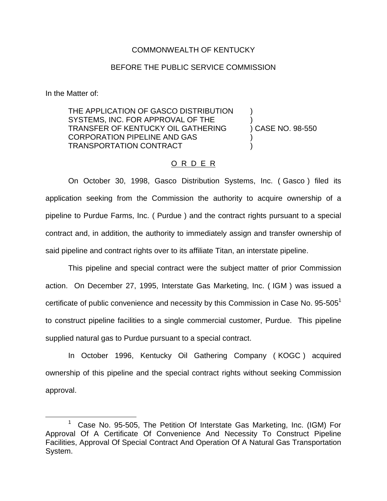## COMMONWEALTH OF KENTUCKY

## BEFORE THE PUBLIC SERVICE COMMISSION

In the Matter of:

THE APPLICATION OF GASCO DISTRIBUTION SYSTEMS, INC. FOR APPROVAL OF THE TRANSFER OF KENTUCKY OIL GATHERING ) CASE NO. 98-550 CORPORATION PIPELINE AND GAS ) TRANSPORTATION CONTRACT )

## O R D E R

On October 30, 1998, Gasco Distribution Systems, Inc. ( Gasco ) filed its application seeking from the Commission the authority to acquire ownership of a pipeline to Purdue Farms, Inc. ( Purdue ) and the contract rights pursuant to a special contract and, in addition, the authority to immediately assign and transfer ownership of said pipeline and contract rights over to its affiliate Titan, an interstate pipeline.

This pipeline and special contract were the subject matter of prior Commission action. On December 27, 1995, Interstate Gas Marketing, Inc. ( IGM ) was issued a certificate of public convenience and necessity by this Commission in Case No.  $95-505<sup>1</sup>$ to construct pipeline facilities to a single commercial customer, Purdue. This pipeline supplied natural gas to Purdue pursuant to a special contract.

In October 1996, Kentucky Oil Gathering Company ( KOGC ) acquired ownership of this pipeline and the special contract rights without seeking Commission approval.

<sup>&</sup>lt;sup>1</sup> Case No. 95-505, The Petition Of Interstate Gas Marketing, Inc. (IGM) For Approval Of A Certificate Of Convenience And Necessity To Construct Pipeline Facilities, Approval Of Special Contract And Operation Of A Natural Gas Transportation System.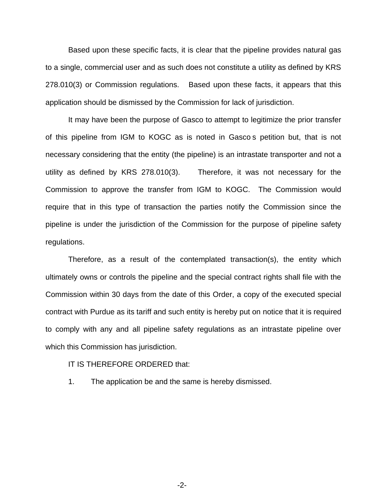Based upon these specific facts, it is clear that the pipeline provides natural gas to a single, commercial user and as such does not constitute a utility as defined by KRS 278.010(3) or Commission regulations. Based upon these facts, it appears that this application should be dismissed by the Commission for lack of jurisdiction.

It may have been the purpose of Gasco to attempt to legitimize the prior transfer of this pipeline from IGM to KOGC as is noted in Gasco s petition but, that is not necessary considering that the entity (the pipeline) is an intrastate transporter and not a utility as defined by KRS 278.010(3). Therefore, it was not necessary for the Commission to approve the transfer from IGM to KOGC. The Commission would require that in this type of transaction the parties notify the Commission since the pipeline is under the jurisdiction of the Commission for the purpose of pipeline safety regulations.

Therefore, as a result of the contemplated transaction(s), the entity which ultimately owns or controls the pipeline and the special contract rights shall file with the Commission within 30 days from the date of this Order, a copy of the executed special contract with Purdue as its tariff and such entity is hereby put on notice that it is required to comply with any and all pipeline safety regulations as an intrastate pipeline over which this Commission has jurisdiction.

## IT IS THEREFORE ORDERED that:

1. The application be and the same is hereby dismissed.

-2-